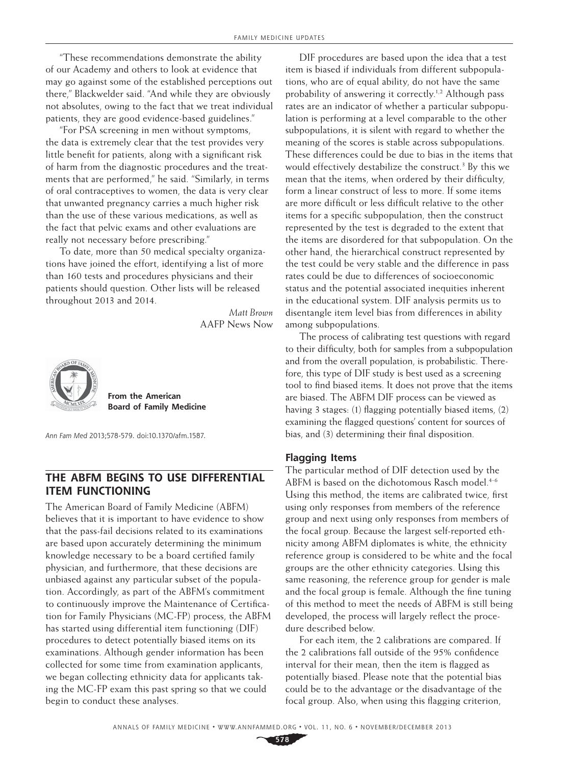"These recommendations demonstrate the ability of our Academy and others to look at evidence that may go against some of the established perceptions out there," Blackwelder said. "And while they are obviously not absolutes, owing to the fact that we treat individual patients, they are good evidence-based guidelines."

"For PSA screening in men without symptoms, the data is extremely clear that the test provides very little benefit for patients, along with a significant risk of harm from the diagnostic procedures and the treatments that are performed," he said. "Similarly, in terms of oral contraceptives to women, the data is very clear that unwanted pregnancy carries a much higher risk than the use of these various medications, as well as the fact that pelvic exams and other evaluations are really not necessary before prescribing."

To date, more than 50 medical specialty organizations have joined the effort, identifying a list of more than 160 tests and procedures physicians and their patients should question. Other lists will be released throughout 2013 and 2014.

*Matt Brown* AAFP News Now



**From the American Board of Family Medicine**

*Ann Fam Med* 2013;578-579. doi:10.1370/afm.1587.

# **The ABFM Begins to Use Differential Item Functioning**

The American Board of Family Medicine (ABFM) believes that it is important to have evidence to show that the pass-fail decisions related to its examinations are based upon accurately determining the minimum knowledge necessary to be a board certified family physician, and furthermore, that these decisions are unbiased against any particular subset of the population. Accordingly, as part of the ABFM's commitment to continuously improve the Maintenance of Certification for Family Physicians (MC-FP) process, the ABFM has started using differential item functioning (DIF) procedures to detect potentially biased items on its examinations. Although gender information has been collected for some time from examination applicants, we began collecting ethnicity data for applicants taking the MC-FP exam this past spring so that we could begin to conduct these analyses.

DIF procedures are based upon the idea that a test item is biased if individuals from different subpopulations, who are of equal ability, do not have the same probability of answering it correctly.1,2 Although pass rates are an indicator of whether a particular subpopulation is performing at a level comparable to the other subpopulations, it is silent with regard to whether the meaning of the scores is stable across subpopulations. These differences could be due to bias in the items that would effectively destabilize the construct.<sup>3</sup> By this we mean that the items, when ordered by their difficulty, form a linear construct of less to more. If some items are more difficult or less difficult relative to the other items for a specific subpopulation, then the construct represented by the test is degraded to the extent that the items are disordered for that subpopulation. On the other hand, the hierarchical construct represented by the test could be very stable and the difference in pass rates could be due to differences of socioeconomic status and the potential associated inequities inherent in the educational system. DIF analysis permits us to disentangle item level bias from differences in ability among subpopulations.

The process of calibrating test questions with regard to their difficulty, both for samples from a subpopulation and from the overall population, is probabilistic. Therefore, this type of DIF study is best used as a screening tool to find biased items. It does not prove that the items are biased. The ABFM DIF process can be viewed as having 3 stages: (1) flagging potentially biased items, (2) examining the flagged questions' content for sources of bias, and (3) determining their final disposition.

## **Flagging Items**

The particular method of DIF detection used by the ABFM is based on the dichotomous Rasch model.<sup>4-6</sup> Using this method, the items are calibrated twice, first using only responses from members of the reference group and next using only responses from members of the focal group. Because the largest self-reported ethnicity among ABFM diplomates is white, the ethnicity reference group is considered to be white and the focal groups are the other ethnicity categories. Using this same reasoning, the reference group for gender is male and the focal group is female. Although the fine tuning of this method to meet the needs of ABFM is still being developed, the process will largely reflect the procedure described below.

For each item, the 2 calibrations are compared. If the 2 calibrations fall outside of the 95% confidence interval for their mean, then the item is flagged as potentially biased. Please note that the potential bias could be to the advantage or the disadvantage of the focal group. Also, when using this flagging criterion,